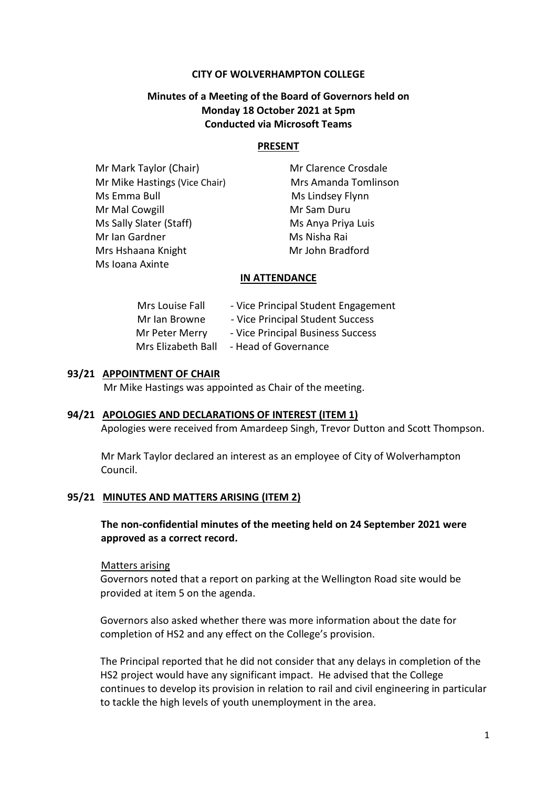### **CITY OF WOLVERHAMPTON COLLEGE**

# **Minutes of a Meeting of the Board of Governors held on Monday 18 October 2021 at 5pm Conducted via Microsoft Teams**

#### **PRESENT**

| Mr Mark Taylor (Chair)        |
|-------------------------------|
| Mr Mike Hastings (Vice Chair) |
| Ms Emma Bull                  |
| Mr Mal Cowgill                |
| Ms Sally Slater (Staff)       |
| Mr Ian Gardner                |
| Mrs Hshaana Knight            |
| Ms Ioana Axinte               |

**Mr Clarence Crosdale** Mrs Amanda Tomlinson Ms Lindsey Flynn Mr Sam Duru Ms Anya Priya Luis Ms Nisha Rai Mr John Bradford

#### **IN ATTENDANCE**

| Mrs Louise Fall    | - Vice Principal Student Engagement |
|--------------------|-------------------------------------|
| Mr Ian Browne      | - Vice Principal Student Success    |
| Mr Peter Merry     | - Vice Principal Business Success   |
| Mrs Elizabeth Ball | - Head of Governance                |

### **93/21 APPOINTMENT OF CHAIR**

Mr Mike Hastings was appointed as Chair of the meeting.

#### **94/21 APOLOGIES AND DECLARATIONS OF INTEREST (ITEM 1)**

Apologies were received from Amardeep Singh, Trevor Dutton and Scott Thompson.

Mr Mark Taylor declared an interest as an employee of City of Wolverhampton Council.

#### **95/21 MINUTES AND MATTERS ARISING (ITEM 2)**

## **The non-confidential minutes of the meeting held on 24 September 2021 were approved as a correct record.**

#### Matters arising

Governors noted that a report on parking at the Wellington Road site would be provided at item 5 on the agenda.

Governors also asked whether there was more information about the date for completion of HS2 and any effect on the College's provision.

The Principal reported that he did not consider that any delays in completion of the HS2 project would have any significant impact. He advised that the College continues to develop its provision in relation to rail and civil engineering in particular to tackle the high levels of youth unemployment in the area.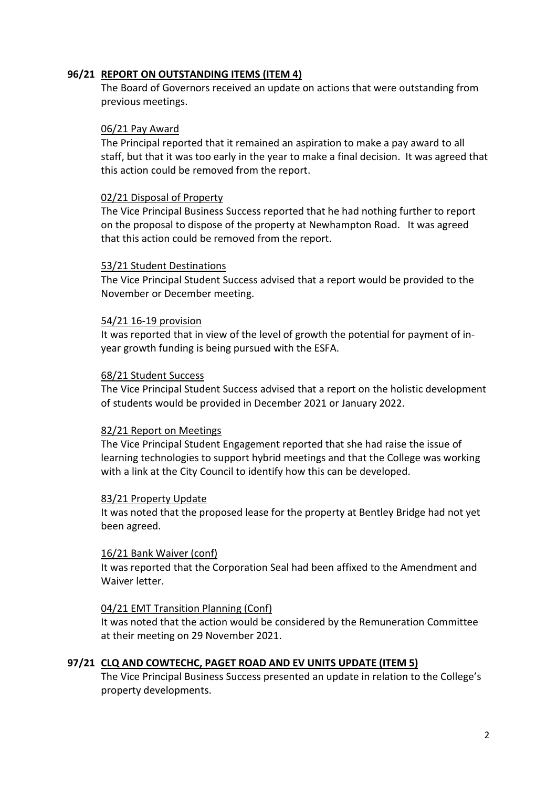# **96/21 REPORT ON OUTSTANDING ITEMS (ITEM 4)**

The Board of Governors received an update on actions that were outstanding from previous meetings.

### 06/21 Pay Award

The Principal reported that it remained an aspiration to make a pay award to all staff, but that it was too early in the year to make a final decision. It was agreed that this action could be removed from the report.

### 02/21 Disposal of Property

The Vice Principal Business Success reported that he had nothing further to report on the proposal to dispose of the property at Newhampton Road. It was agreed that this action could be removed from the report.

### 53/21 Student Destinations

The Vice Principal Student Success advised that a report would be provided to the November or December meeting.

### 54/21 16-19 provision

It was reported that in view of the level of growth the potential for payment of inyear growth funding is being pursued with the ESFA.

### 68/21 Student Success

The Vice Principal Student Success advised that a report on the holistic development of students would be provided in December 2021 or January 2022.

## 82/21 Report on Meetings

The Vice Principal Student Engagement reported that she had raise the issue of learning technologies to support hybrid meetings and that the College was working with a link at the City Council to identify how this can be developed.

## 83/21 Property Update

It was noted that the proposed lease for the property at Bentley Bridge had not yet been agreed.

## 16/21 Bank Waiver (conf)

It was reported that the Corporation Seal had been affixed to the Amendment and Waiver letter.

## 04/21 EMT Transition Planning (Conf)

It was noted that the action would be considered by the Remuneration Committee at their meeting on 29 November 2021.

## **97/21 CLQ AND COWTECHC, PAGET ROAD AND EV UNITS UPDATE (ITEM 5)**

The Vice Principal Business Success presented an update in relation to the College's property developments.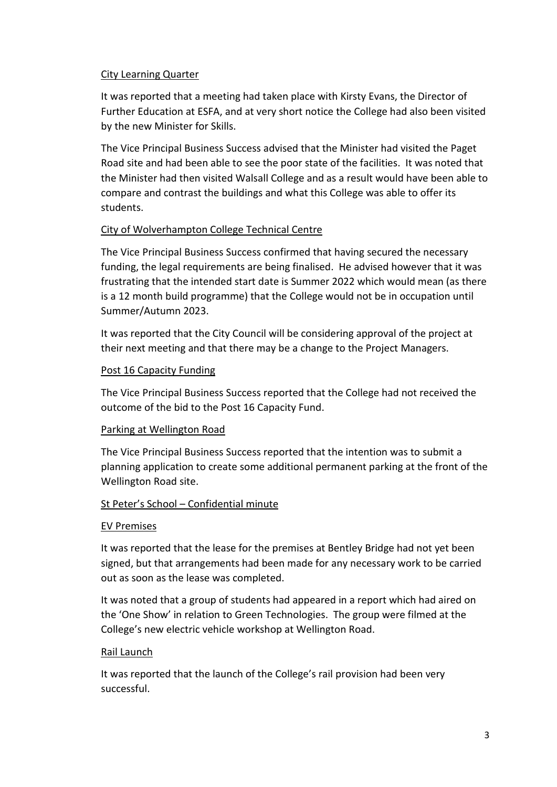# City Learning Quarter

It was reported that a meeting had taken place with Kirsty Evans, the Director of Further Education at ESFA, and at very short notice the College had also been visited by the new Minister for Skills.

The Vice Principal Business Success advised that the Minister had visited the Paget Road site and had been able to see the poor state of the facilities. It was noted that the Minister had then visited Walsall College and as a result would have been able to compare and contrast the buildings and what this College was able to offer its students.

# City of Wolverhampton College Technical Centre

The Vice Principal Business Success confirmed that having secured the necessary funding, the legal requirements are being finalised. He advised however that it was frustrating that the intended start date is Summer 2022 which would mean (as there is a 12 month build programme) that the College would not be in occupation until Summer/Autumn 2023.

It was reported that the City Council will be considering approval of the project at their next meeting and that there may be a change to the Project Managers.

# Post 16 Capacity Funding

The Vice Principal Business Success reported that the College had not received the outcome of the bid to the Post 16 Capacity Fund.

# Parking at Wellington Road

The Vice Principal Business Success reported that the intention was to submit a planning application to create some additional permanent parking at the front of the Wellington Road site.

## St Peter's School – Confidential minute

## EV Premises

It was reported that the lease for the premises at Bentley Bridge had not yet been signed, but that arrangements had been made for any necessary work to be carried out as soon as the lease was completed.

It was noted that a group of students had appeared in a report which had aired on the 'One Show' in relation to Green Technologies. The group were filmed at the College's new electric vehicle workshop at Wellington Road.

## Rail Launch

It was reported that the launch of the College's rail provision had been very successful.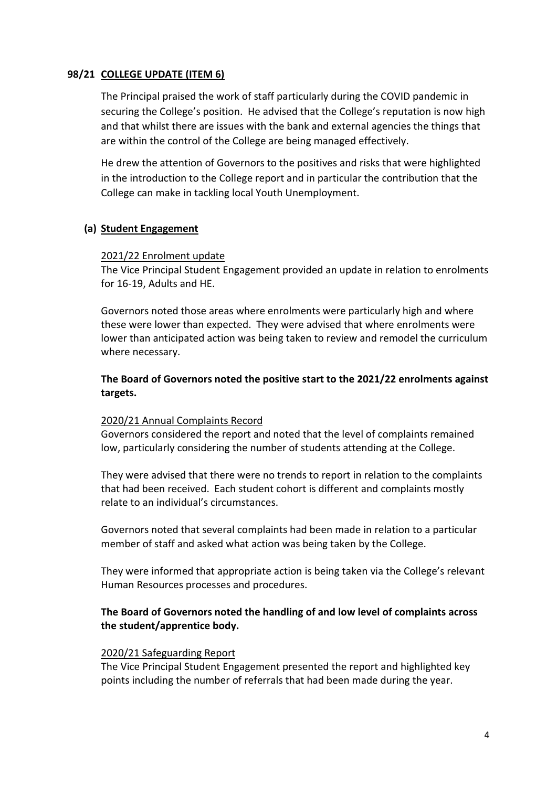# **98/21 COLLEGE UPDATE (ITEM 6)**

The Principal praised the work of staff particularly during the COVID pandemic in securing the College's position. He advised that the College's reputation is now high and that whilst there are issues with the bank and external agencies the things that are within the control of the College are being managed effectively.

He drew the attention of Governors to the positives and risks that were highlighted in the introduction to the College report and in particular the contribution that the College can make in tackling local Youth Unemployment.

# **(a) Student Engagement**

# 2021/22 Enrolment update

The Vice Principal Student Engagement provided an update in relation to enrolments for 16-19, Adults and HE.

Governors noted those areas where enrolments were particularly high and where these were lower than expected. They were advised that where enrolments were lower than anticipated action was being taken to review and remodel the curriculum where necessary.

**The Board of Governors noted the positive start to the 2021/22 enrolments against targets.**

## 2020/21 Annual Complaints Record

Governors considered the report and noted that the level of complaints remained low, particularly considering the number of students attending at the College.

They were advised that there were no trends to report in relation to the complaints that had been received. Each student cohort is different and complaints mostly relate to an individual's circumstances.

Governors noted that several complaints had been made in relation to a particular member of staff and asked what action was being taken by the College.

They were informed that appropriate action is being taken via the College's relevant Human Resources processes and procedures.

# **The Board of Governors noted the handling of and low level of complaints across the student/apprentice body.**

# 2020/21 Safeguarding Report

The Vice Principal Student Engagement presented the report and highlighted key points including the number of referrals that had been made during the year.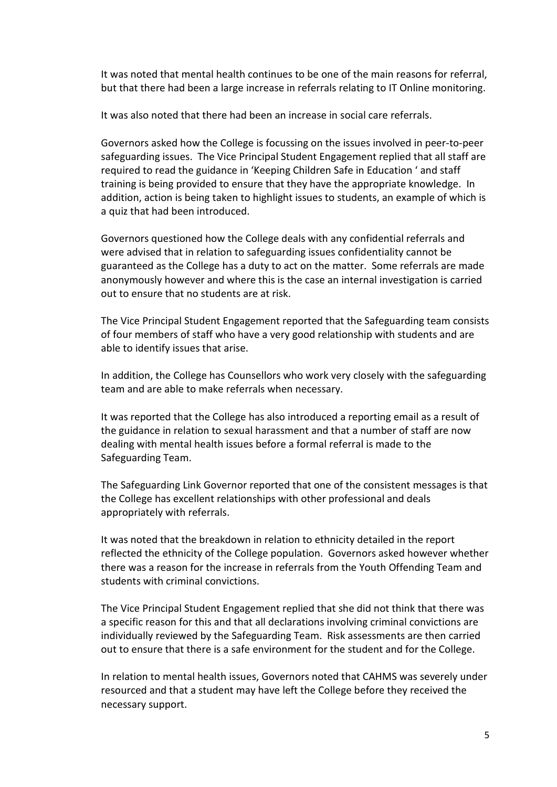It was noted that mental health continues to be one of the main reasons for referral, but that there had been a large increase in referrals relating to IT Online monitoring.

It was also noted that there had been an increase in social care referrals.

Governors asked how the College is focussing on the issues involved in peer-to-peer safeguarding issues. The Vice Principal Student Engagement replied that all staff are required to read the guidance in 'Keeping Children Safe in Education ' and staff training is being provided to ensure that they have the appropriate knowledge. In addition, action is being taken to highlight issues to students, an example of which is a quiz that had been introduced.

Governors questioned how the College deals with any confidential referrals and were advised that in relation to safeguarding issues confidentiality cannot be guaranteed as the College has a duty to act on the matter. Some referrals are made anonymously however and where this is the case an internal investigation is carried out to ensure that no students are at risk.

The Vice Principal Student Engagement reported that the Safeguarding team consists of four members of staff who have a very good relationship with students and are able to identify issues that arise.

In addition, the College has Counsellors who work very closely with the safeguarding team and are able to make referrals when necessary.

It was reported that the College has also introduced a reporting email as a result of the guidance in relation to sexual harassment and that a number of staff are now dealing with mental health issues before a formal referral is made to the Safeguarding Team.

The Safeguarding Link Governor reported that one of the consistent messages is that the College has excellent relationships with other professional and deals appropriately with referrals.

It was noted that the breakdown in relation to ethnicity detailed in the report reflected the ethnicity of the College population. Governors asked however whether there was a reason for the increase in referrals from the Youth Offending Team and students with criminal convictions.

The Vice Principal Student Engagement replied that she did not think that there was a specific reason for this and that all declarations involving criminal convictions are individually reviewed by the Safeguarding Team. Risk assessments are then carried out to ensure that there is a safe environment for the student and for the College.

In relation to mental health issues, Governors noted that CAHMS was severely under resourced and that a student may have left the College before they received the necessary support.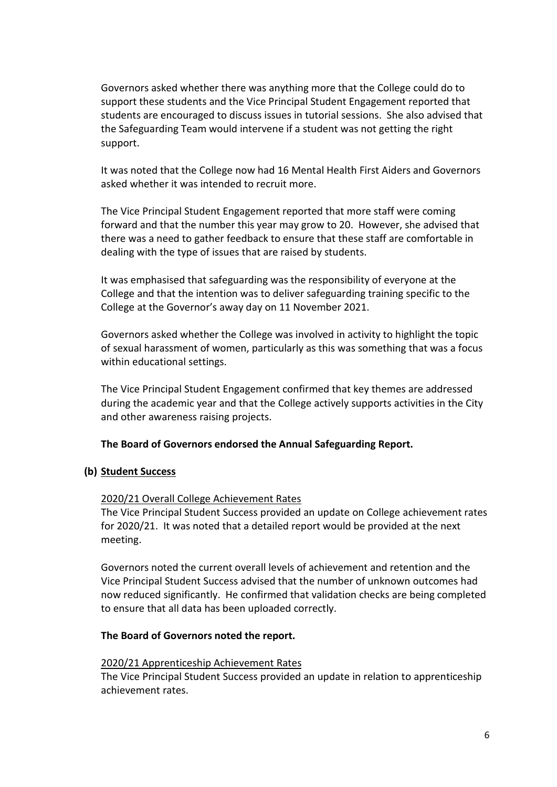Governors asked whether there was anything more that the College could do to support these students and the Vice Principal Student Engagement reported that students are encouraged to discuss issues in tutorial sessions. She also advised that the Safeguarding Team would intervene if a student was not getting the right support.

It was noted that the College now had 16 Mental Health First Aiders and Governors asked whether it was intended to recruit more.

The Vice Principal Student Engagement reported that more staff were coming forward and that the number this year may grow to 20. However, she advised that there was a need to gather feedback to ensure that these staff are comfortable in dealing with the type of issues that are raised by students.

It was emphasised that safeguarding was the responsibility of everyone at the College and that the intention was to deliver safeguarding training specific to the College at the Governor's away day on 11 November 2021.

Governors asked whether the College was involved in activity to highlight the topic of sexual harassment of women, particularly as this was something that was a focus within educational settings.

The Vice Principal Student Engagement confirmed that key themes are addressed during the academic year and that the College actively supports activities in the City and other awareness raising projects.

## **The Board of Governors endorsed the Annual Safeguarding Report.**

## **(b) Student Success**

## 2020/21 Overall College Achievement Rates

The Vice Principal Student Success provided an update on College achievement rates for 2020/21. It was noted that a detailed report would be provided at the next meeting.

Governors noted the current overall levels of achievement and retention and the Vice Principal Student Success advised that the number of unknown outcomes had now reduced significantly. He confirmed that validation checks are being completed to ensure that all data has been uploaded correctly.

## **The Board of Governors noted the report.**

## 2020/21 Apprenticeship Achievement Rates

The Vice Principal Student Success provided an update in relation to apprenticeship achievement rates.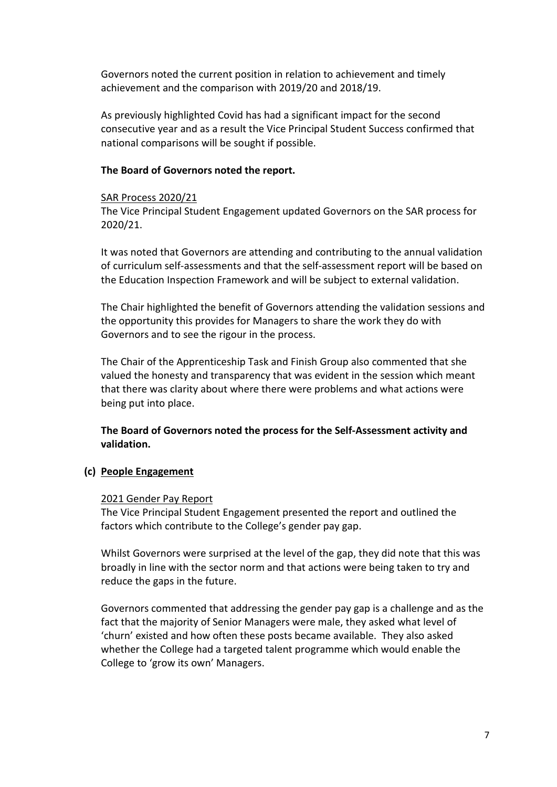Governors noted the current position in relation to achievement and timely achievement and the comparison with 2019/20 and 2018/19.

As previously highlighted Covid has had a significant impact for the second consecutive year and as a result the Vice Principal Student Success confirmed that national comparisons will be sought if possible.

# **The Board of Governors noted the report.**

## SAR Process 2020/21

The Vice Principal Student Engagement updated Governors on the SAR process for 2020/21.

It was noted that Governors are attending and contributing to the annual validation of curriculum self-assessments and that the self-assessment report will be based on the Education Inspection Framework and will be subject to external validation.

The Chair highlighted the benefit of Governors attending the validation sessions and the opportunity this provides for Managers to share the work they do with Governors and to see the rigour in the process.

The Chair of the Apprenticeship Task and Finish Group also commented that she valued the honesty and transparency that was evident in the session which meant that there was clarity about where there were problems and what actions were being put into place.

**The Board of Governors noted the process for the Self-Assessment activity and validation.**

## **(c) People Engagement**

## 2021 Gender Pay Report

The Vice Principal Student Engagement presented the report and outlined the factors which contribute to the College's gender pay gap.

Whilst Governors were surprised at the level of the gap, they did note that this was broadly in line with the sector norm and that actions were being taken to try and reduce the gaps in the future.

Governors commented that addressing the gender pay gap is a challenge and as the fact that the majority of Senior Managers were male, they asked what level of 'churn' existed and how often these posts became available. They also asked whether the College had a targeted talent programme which would enable the College to 'grow its own' Managers.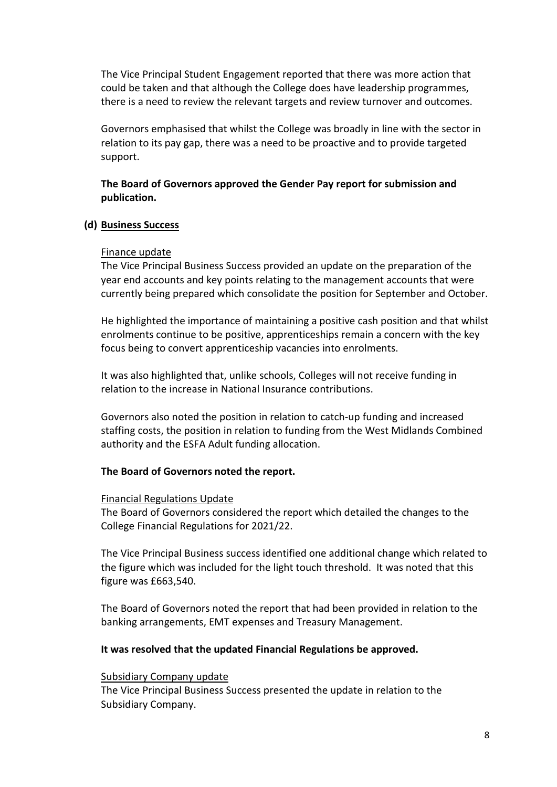The Vice Principal Student Engagement reported that there was more action that could be taken and that although the College does have leadership programmes, there is a need to review the relevant targets and review turnover and outcomes.

Governors emphasised that whilst the College was broadly in line with the sector in relation to its pay gap, there was a need to be proactive and to provide targeted support.

# **The Board of Governors approved the Gender Pay report for submission and publication.**

# **(d) Business Success**

## Finance update

The Vice Principal Business Success provided an update on the preparation of the year end accounts and key points relating to the management accounts that were currently being prepared which consolidate the position for September and October.

He highlighted the importance of maintaining a positive cash position and that whilst enrolments continue to be positive, apprenticeships remain a concern with the key focus being to convert apprenticeship vacancies into enrolments.

It was also highlighted that, unlike schools, Colleges will not receive funding in relation to the increase in National Insurance contributions.

Governors also noted the position in relation to catch-up funding and increased staffing costs, the position in relation to funding from the West Midlands Combined authority and the ESFA Adult funding allocation.

# **The Board of Governors noted the report.**

## Financial Regulations Update

The Board of Governors considered the report which detailed the changes to the College Financial Regulations for 2021/22.

The Vice Principal Business success identified one additional change which related to the figure which was included for the light touch threshold. It was noted that this figure was £663,540.

The Board of Governors noted the report that had been provided in relation to the banking arrangements, EMT expenses and Treasury Management.

## **It was resolved that the updated Financial Regulations be approved.**

## Subsidiary Company update

The Vice Principal Business Success presented the update in relation to the Subsidiary Company.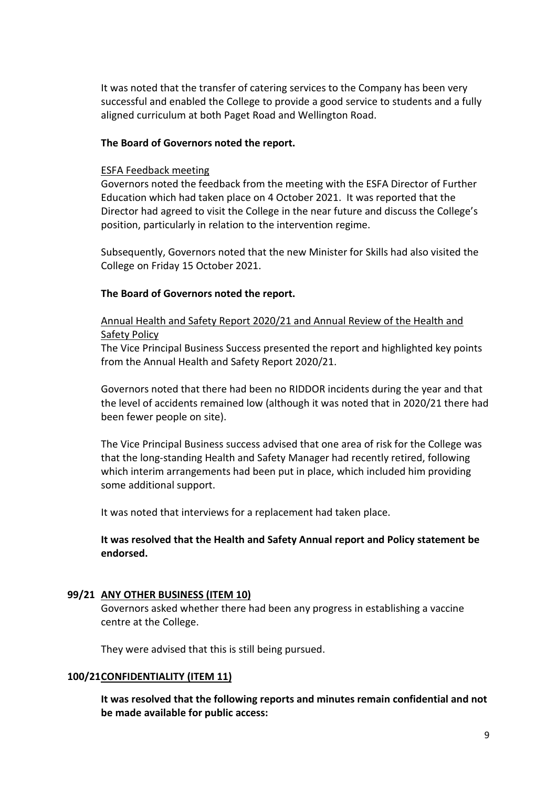It was noted that the transfer of catering services to the Company has been very successful and enabled the College to provide a good service to students and a fully aligned curriculum at both Paget Road and Wellington Road.

## **The Board of Governors noted the report.**

### ESFA Feedback meeting

Governors noted the feedback from the meeting with the ESFA Director of Further Education which had taken place on 4 October 2021. It was reported that the Director had agreed to visit the College in the near future and discuss the College's position, particularly in relation to the intervention regime.

Subsequently, Governors noted that the new Minister for Skills had also visited the College on Friday 15 October 2021.

# **The Board of Governors noted the report.**

# Annual Health and Safety Report 2020/21 and Annual Review of the Health and Safety Policy

The Vice Principal Business Success presented the report and highlighted key points from the Annual Health and Safety Report 2020/21.

Governors noted that there had been no RIDDOR incidents during the year and that the level of accidents remained low (although it was noted that in 2020/21 there had been fewer people on site).

The Vice Principal Business success advised that one area of risk for the College was that the long-standing Health and Safety Manager had recently retired, following which interim arrangements had been put in place, which included him providing some additional support.

It was noted that interviews for a replacement had taken place.

# **It was resolved that the Health and Safety Annual report and Policy statement be endorsed.**

## **99/21 ANY OTHER BUSINESS (ITEM 10)**

Governors asked whether there had been any progress in establishing a vaccine centre at the College.

They were advised that this is still being pursued.

## **100/21CONFIDENTIALITY (ITEM 11)**

**It was resolved that the following reports and minutes remain confidential and not be made available for public access:**